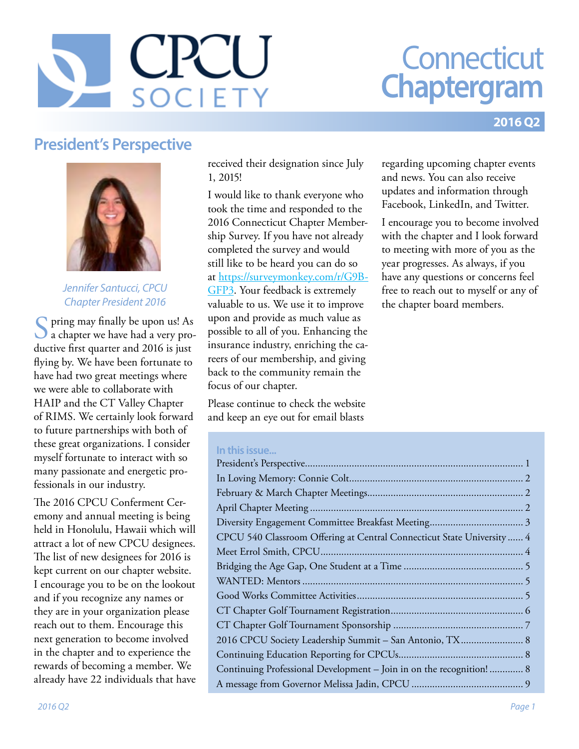# $\bigcap$ **DCIFT**

# **Connecticut Chaptergram**

#### **2016 Q2**

#### **President's Perspective**



#### *Jennifer Santucci, CPCU Chapter President 2016*

pring may finally be upon us! As a chapter we have had a very productive first quarter and 2016 is just flying by. We have been fortunate to have had two great meetings where we were able to collaborate with HAIP and the CT Valley Chapter of RIMS. We certainly look forward to future partnerships with both of these great organizations. I consider myself fortunate to interact with so many passionate and energetic professionals in our industry.

The 2016 CPCU Conferment Ceremony and annual meeting is being held in Honolulu, Hawaii which will attract a lot of new CPCU designees. The list of new designees for 2016 is kept current on our chapter website. I encourage you to be on the lookout and if you recognize any names or they are in your organization please reach out to them. Encourage this next generation to become involved in the chapter and to experience the rewards of becoming a member. We already have 22 individuals that have

received their designation since July 1, 2015!

I would like to thank everyone who took the time and responded to the 2016 Connecticut Chapter Membership Survey. If you have not already completed the survey and would still like to be heard you can do so at [https://surveymonkey.com/r/G9B-](https://surveymonkey.com/r/G9BGFP3)[GFP3](https://surveymonkey.com/r/G9BGFP3). Your feedback is extremely valuable to us. We use it to improve upon and provide as much value as possible to all of you. Enhancing the insurance industry, enriching the careers of our membership, and giving back to the community remain the focus of our chapter.

Please continue to check the website and keep an eye out for email blasts

#### **In this issue...**

| CPCU 540 Classroom Offering at Central Connecticut State University  4 |
|------------------------------------------------------------------------|
|                                                                        |
|                                                                        |
|                                                                        |
|                                                                        |
|                                                                        |
|                                                                        |
| 2016 CPCU Society Leadership Summit - San Antonio, TX 8                |
|                                                                        |
| Continuing Professional Development - Join in on the recognition! 8    |
|                                                                        |

regarding upcoming chapter events and news. You can also receive updates and information through Facebook, LinkedIn, and Twitter.

I encourage you to become involved with the chapter and I look forward to meeting with more of you as the year progresses. As always, if you have any questions or concerns feel free to reach out to myself or any of the chapter board members.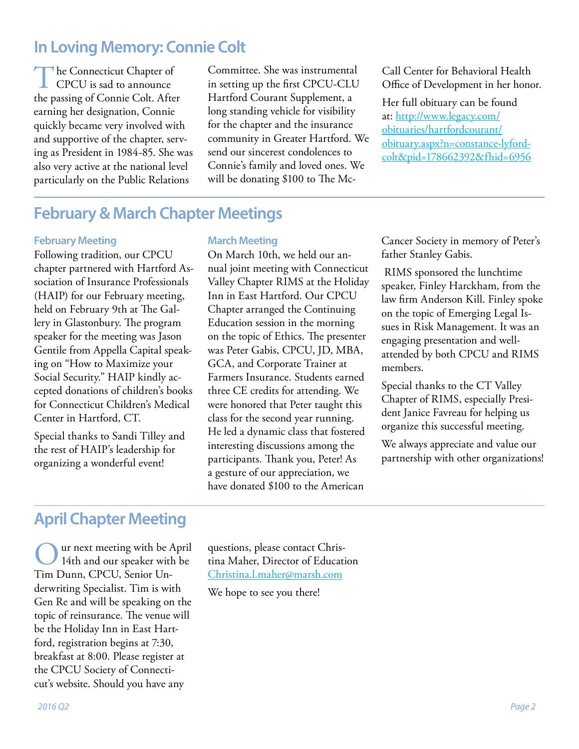#### <span id="page-1-0"></span>**In Loving Memory: Connie Colt**

The Connecticut Chapter of<br>CPCU is sad to announce the passing of Connie Colt. After earning her designation, Connie quickly became very involved with and supportive of the chapter, serving as President in 1984-85. She was also very active at the national level particularly on the Public Relations

Committee. She was instrumental in setting up the first CPCU-CLU Hartford Courant Supplement, a long standing vehicle for visibility for the chapter and the insurance community in Greater Hartford. We send our sincerest condolences to Connie's family and loved ones. We will be donating \$100 to The Mc-

Call Center for Behavioral Health Office of Development in her honor.

Her full obituary can be found at: [http://www.legacy.com/](http://www.legacy.com/obituaries/hartfordcourant/obituary.aspx?n=constance-lyford-colt&pid=178662392&fhid=6956) [obituaries/hartfordcourant/](http://www.legacy.com/obituaries/hartfordcourant/obituary.aspx?n=constance-lyford-colt&pid=178662392&fhid=6956) [obituary.aspx?n=constance-lyford](http://www.legacy.com/obituaries/hartfordcourant/obituary.aspx?n=constance-lyford-colt&pid=178662392&fhid=6956)[colt&pid=178662392&fhid=6956](http://www.legacy.com/obituaries/hartfordcourant/obituary.aspx?n=constance-lyford-colt&pid=178662392&fhid=6956)

#### **February & March Chapter Meetings**

#### **February Meeting**

Following tradition, our CPCU chapter partnered with Hartford Association of Insurance Professionals (HAIP) for our February meeting, held on February 9th at The Gallery in Glastonbury. The program speaker for the meeting was Jason Gentile from Appella Capital speaking on "How to Maximize your Social Security." HAIP kindly accepted donations of children's books for Connecticut Children's Medical Center in Hartford, CT.

Special thanks to Sandi Tilley and the rest of HAIP's leadership for organizing a wonderful event!

#### **March Meeting**

On March 10th, we held our annual joint meeting with Connecticut Valley Chapter RIMS at the Holiday Inn in East Hartford. Our CPCU Chapter arranged the Continuing Education session in the morning on the topic of Ethics. The presenter was Peter Gabis, CPCU, JD, MBA, GCA, and Corporate Trainer at Farmers Insurance. Students earned three CE credits for attending. We were honored that Peter taught this class for the second year running. He led a dynamic class that fostered interesting discussions among the participants. Thank you, Peter! As a gesture of our appreciation, we have donated \$100 to the American

Cancer Society in memory of Peter's father Stanley Gabis.

 RIMS sponsored the lunchtime speaker, Finley Harckham, from the law firm Anderson Kill. Finley spoke on the topic of Emerging Legal Issues in Risk Management. It was an engaging presentation and wellattended by both CPCU and RIMS members.

Special thanks to the CT Valley Chapter of RIMS, especially President Janice Favreau for helping us organize this successful meeting.

We always appreciate and value our partnership with other organizations!

#### **April Chapter Meeting**

Our next meeting with be April<br>14th and our speaker with be Tim Dunn, CPCU, Senior Underwriting Specialist. Tim is with Gen Re and will be speaking on the topic of reinsurance. The venue will be the Holiday Inn in East Hartford, registration begins at 7:30, breakfast at 8:00. Please register at the CPCU Society of Connecticut's website. Should you have any

questions, please contact Christina Maher, Director of Education [Christina.l.maher@marsh.com](mailto:Christina.l.maher@marsh.com)

We hope to see you there!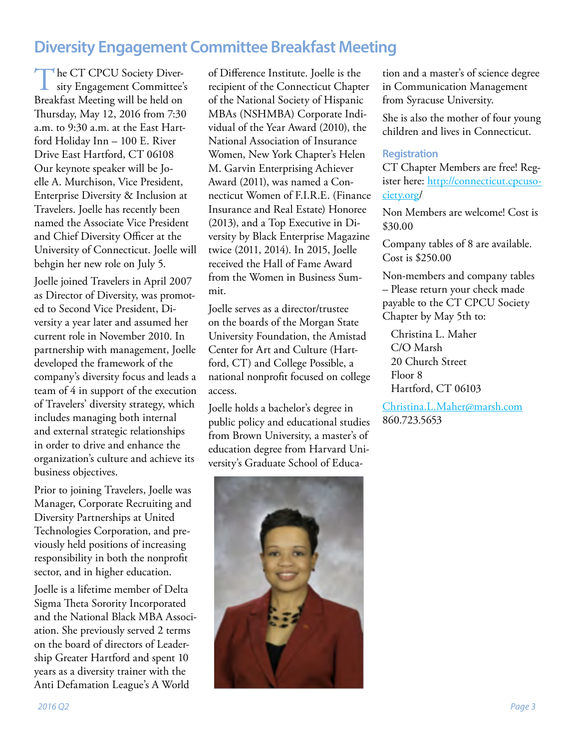#### <span id="page-2-0"></span>**Diversity Engagement Committee Breakfast Meeting**

The CT CPCU Society Diversity Engagement Committee's Breakfast Meeting will be held on Thursday, May 12, 2016 from 7:30 a.m. to 9:30 a.m. at the East Hartford Holiday Inn – 100 E. River Drive East Hartford, CT 06108 Our keynote speaker will be Joelle A. Murchison, Vice President, Enterprise Diversity & Inclusion at Travelers. Joelle has recently been named the Associate Vice President and Chief Diversity Officer at the University of Connecticut. Joelle will behgin her new role on July 5.

Joelle joined Travelers in April 2007 as Director of Diversity, was promoted to Second Vice President, Diversity a year later and assumed her current role in November 2010. In partnership with management, Joelle developed the framework of the company's diversity focus and leads a team of 4 in support of the execution of Travelers' diversity strategy, which includes managing both internal and external strategic relationships in order to drive and enhance the organization's culture and achieve its business objectives.

Prior to joining Travelers, Joelle was Manager, Corporate Recruiting and Diversity Partnerships at United Technologies Corporation, and previously held positions of increasing responsibility in both the nonprofit sector, and in higher education.

Joelle is a lifetime member of Delta Sigma Theta Sorority Incorporated and the National Black MBA Association. She previously served 2 terms on the board of directors of Leadership Greater Hartford and spent 10 years as a diversity trainer with the Anti Defamation League's A World

of Difference Institute. Joelle is the recipient of the Connecticut Chapter of the National Society of Hispanic MBAs (NSHMBA) Corporate Individual of the Year Award (2010), the National Association of Insurance Women, New York Chapter's Helen M. Garvin Enterprising Achiever Award (2011), was named a Connecticut Women of F.I.R.E. (Finance Insurance and Real Estate) Honoree (2013), and a Top Executive in Diversity by Black Enterprise Magazine twice (2011, 2014). In 2015, Joelle received the Hall of Fame Award from the Women in Business Summit.

Joelle serves as a director/trustee on the boards of the Morgan State University Foundation, the Amistad Center for Art and Culture (Hartford, CT) and College Possible, a national nonprofit focused on college access.

Joelle holds a bachelor's degree in public policy and educational studies from Brown University, a master's of education degree from Harvard University's Graduate School of Educa-



tion and a master's of science degree in Communication Management from Syracuse University.

She is also the mother of four young children and lives in Connecticut.

#### **Registration**

CT Chapter Members are free! Register here: [http://connecticut.cpcuso](http://connecticut.cpcusociety.org)[ciety.org](http://connecticut.cpcusociety.org)/

Non Members are welcome! Cost is \$30.00

Company tables of 8 are available. Cost is \$250.00

Non-members and company tables – Please return your check made payable to the CT CPCU Society Chapter by May 5th to:

Christina L. Maher C/O Marsh 20 Church Street Floor 8 Hartford, CT 06103

[Christina.L.Maher@marsh.com](mailto:Christina.L.Maher@marsh.com) 860.723.5653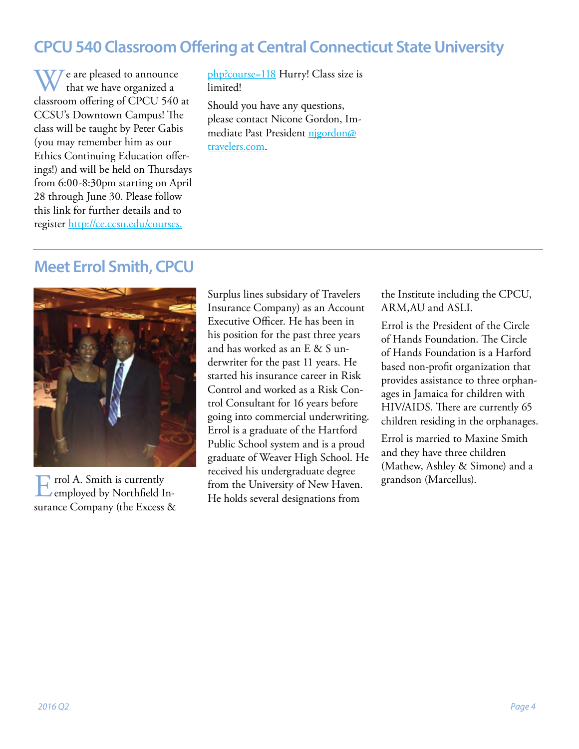### <span id="page-3-0"></span>**CPCU 540 Classroom Offering at Central Connecticut State University**

W/ e are pleased to announce that we have organized a classroom offering of CPCU 540 at CCSU's Downtown Campus! The class will be taught by Peter Gabis (you may remember him as our Ethics Continuing Education offerings!) and will be held on Thursdays from 6:00-8:30pm starting on April 28 through June 30. Please follow this link for further details and to register [http://ce.ccsu.edu/courses.](http://ce.ccsu.edu/courses.php?course=118)

[php?course=118](http://ce.ccsu.edu/courses.php?course=118) Hurry! Class size is limited!

Should you have any questions, please contact Nicone Gordon, Immediate Past President [njgordon@](mailto:njgordon@travelers.com) [travelers.com.](mailto:njgordon@travelers.com)

#### **Meet Errol Smith, CPCU**



Errol A. Smith is currently<br>
employed by Northfield Insurance Company (the Excess & Surplus lines subsidary of Travelers Insurance Company) as an Account Executive Officer. He has been in his position for the past three years and has worked as an E & S underwriter for the past 11 years. He started his insurance career in Risk Control and worked as a Risk Control Consultant for 16 years before going into commercial underwriting. Errol is a graduate of the Hartford Public School system and is a proud graduate of Weaver High School. He received his undergraduate degree from the University of New Haven. He holds several designations from

the Institute including the CPCU, ARM,AU and ASLI.

Errol is the President of the Circle of Hands Foundation. The Circle of Hands Foundation is a Harford based non-profit organization that provides assistance to three orphanages in Jamaica for children with HIV/AIDS. There are currently 65 children residing in the orphanages.

Errol is married to Maxine Smith and they have three children (Mathew, Ashley & Simone) and a grandson (Marcellus).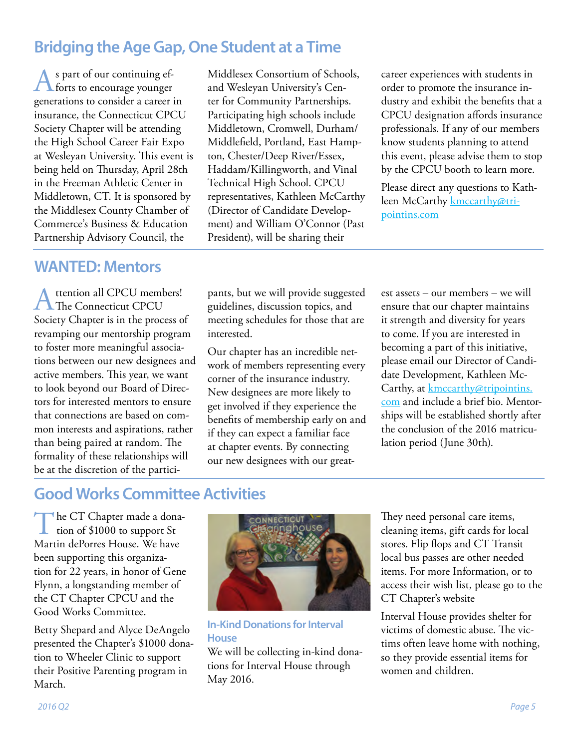### <span id="page-4-0"></span>**Bridging the Age Gap, One Student at a Time**

As part of our continuing ef-forts to encourage younger generations to consider a career in insurance, the Connecticut CPCU Society Chapter will be attending the High School Career Fair Expo at Wesleyan University. This event is being held on Thursday, April 28th in the Freeman Athletic Center in Middletown, CT. It is sponsored by the Middlesex County Chamber of Commerce's Business & Education Partnership Advisory Council, the

Middletown, Cromwell, Durham/ Middlefield, Portland, East Hampton, Chester/Deep River/Essex, Haddam/Killingworth, and Vinal Technical High School. CPCU representatives, Kathleen McCarthy (Director of Candidate Development) and William O'Connor (Past President), will be sharing their

Middlesex Consortium of Schools, and Wesleyan University's Center for Community Partnerships. Participating high schools include

career experiences with students in order to promote the insurance industry and exhibit the benefits that a CPCU designation affords insurance professionals. If any of our members know students planning to attend this event, please advise them to stop by the CPCU booth to learn more.

Please direct any questions to Kathleen McCarthy [kmccarthy@tri](mailto:kmccarthy@tripointins.com)[pointins.com](mailto:kmccarthy@tripointins.com)

#### **WANTED: Mentors**

ttention all CPCU members! The Connecticut CPCU Society Chapter is in the process of revamping our mentorship program to foster more meaningful associations between our new designees and active members. This year, we want to look beyond our Board of Directors for interested mentors to ensure that connections are based on common interests and aspirations, rather than being paired at random. The formality of these relationships will be at the discretion of the participants, but we will provide suggested guidelines, discussion topics, and meeting schedules for those that are interested.

Our chapter has an incredible network of members representing every corner of the insurance industry. New designees are more likely to get involved if they experience the benefits of membership early on and if they can expect a familiar face at chapter events. By connecting our new designees with our greatest assets – our members – we will ensure that our chapter maintains it strength and diversity for years to come. If you are interested in becoming a part of this initiative, please email our Director of Candidate Development, Kathleen McCarthy, at [kmccarthy@tripointins.](mailto:kmccarthy@tripointins.com) [com](mailto:kmccarthy@tripointins.com) and include a brief bio. Mentorships will be established shortly after the conclusion of the 2016 matriculation period (June 30th).

# **Good Works Committee Activities**

The CT Chapter made a donation of \$1000 to support St Martin dePorres House. We have been supporting this organization for 22 years, in honor of Gene Flynn, a longstanding member of the CT Chapter CPCU and the Good Works Committee.

Betty Shepard and Alyce DeAngelo presented the Chapter's \$1000 donation to Wheeler Clinic to support their Positive Parenting program in March.



**In-Kind Donations for Interval House**

We will be collecting in-kind donations for Interval House through May 2016.

They need personal care items, cleaning items, gift cards for local stores. Flip flops and CT Transit local bus passes are other needed items. For more Information, or to access their wish list, please go to the CT Chapter's website

Interval House provides shelter for victims of domestic abuse. The victims often leave home with nothing, so they provide essential items for women and children.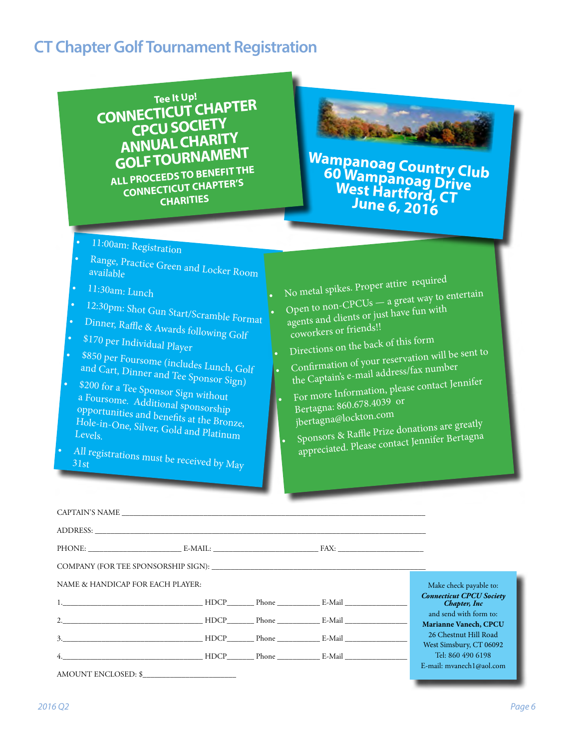# <span id="page-5-0"></span>**CT Chapter Golf Tournament Registration**

**Tee It Up! CONNECTICUT CHAPTER CPCU SOCIETY ANNUAL CHARITY GOLF TOURNAMENT ALL PROCEEDS TO BENEFIT THE CONNECTICUT CHAPTER'S CHARITIES**

**Wampanoag Country Club 60 Wampanoag Drive West Hartford, CT June 6, 2016**

**Bulleto** 

- •11:00am: Registration
- Range, Practice Green and Locker Room<br>available
- •11:30am: Lunch
- 
- 12:30pm: Shot Gun Start/Scramble Format •
- Dinner, Raffle & Awards following Golf •
- \$170 per Individual Player •
- \$850 per Foursome (includes Lunch, Golf and Cart, Dinner and Tee Sponsor Sign)
- •\$200 for a Tee Sponsor Sign without a Foursome. Additional sponsorship opportunities and benefits at the Bronze, Hole-in-One, Silver, Gold and Platinum
- All registrations must be received by  $M_{\rm{ay}}$
- No metal spikes. Proper attire required
- Open to non-CPCUs a great way to entertain
- agents and clients or just have fun with coworkers or friends!!
- Directions on the back of this form
- Confirmation of your reservation will be sent to
- the Captain's e-mail address/fax number For more Information, please contact Jennifer
- •Bertagna: 860.678.4039 or jbertagna@lockton.com
- • Sponsors & Raffle Prize donations are greatly appreciated. Please contact Jennifer Bertagna

| COMPANY (FOR TEE SPONSORSHIP SIGN):                                                                                                                                                                                            |  |                                                  |
|--------------------------------------------------------------------------------------------------------------------------------------------------------------------------------------------------------------------------------|--|--------------------------------------------------|
| NAME & HANDICAP FOR EACH PLAYER:                                                                                                                                                                                               |  | Make check payable to:                           |
| 1. RIDCP Phone E-Mail E-Mail Phone E-Mail Phone E-Mail Phone E-Mail Phone E-Mail Phone E-Mail Phone Phone E-Mail Phone Phone Phone Phone Phone Phone Phone Phone Phone Phone Phone Phone Phone Phone Phone Phone Phone Phone P |  | <b>Connecticut CPCU Society</b><br>Chapter, Inc  |
|                                                                                                                                                                                                                                |  | and send with form to:<br>Marianne Vanech, CPCU  |
|                                                                                                                                                                                                                                |  | 26 Chestnut Hill Road<br>West Simsbury, CT 06092 |
| 4. E-Mail E-Mail E-Mail E-Mail E-Mail E-Mail E-Mail E-Mail E-Mail E-Mail E-Mail E-Mail E-Mail E-Mail E-Mail E-Mail E-Mail E-Mail E-Mail E-Mail E-Mail E-Mail E-Mail E-Mail E-Mail E-Mail E-Mail E-Mail E-Mail E-Mail E-Mail E- |  | Tel: 860 490 6198                                |
| AMOUNT ENCLOSED: \$                                                                                                                                                                                                            |  | E-mail: mvanech $1$ @aol.com                     |

•

•

•

•

*2016 Q2 Page 6*

•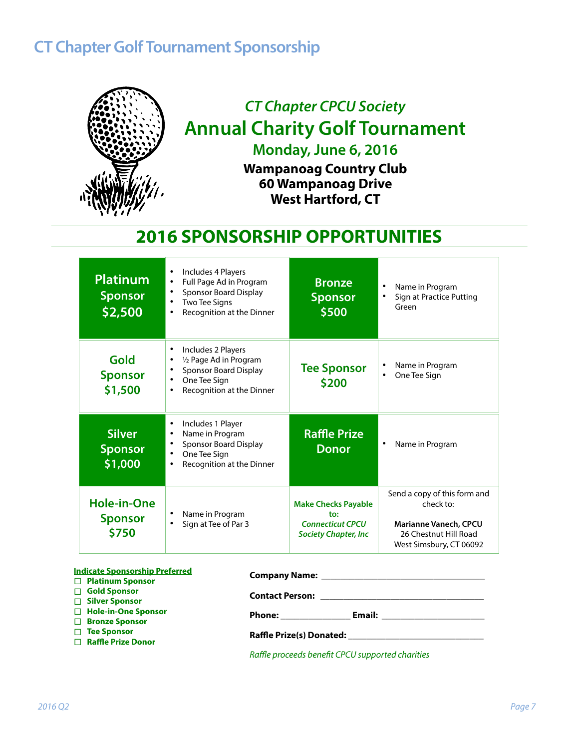# <span id="page-6-0"></span>**CT Chapter Golf Tournament Sponsorship**



# *CT Chapter CPCU Society*  **Annual Charity Golf Tournament Monday, June 6, 2016**

**Wampanoag Country Club 60 Wampanoag Drive West Hartford, CT**

# **2016 SPONSORSHIP OPPORTUNITIES**

| <b>Platinum</b><br><b>Sponsor</b><br>\$2,500  | Includes 4 Players<br>$\bullet$<br>Full Page Ad in Program<br>$\bullet$<br><b>Sponsor Board Display</b><br>٠<br><b>Two Tee Signs</b><br>٠<br>Recognition at the Dinner<br>٠ | <b>Bronze</b><br><b>Sponsor</b><br>\$500                                                     | Name in Program<br>Sign at Practice Putting<br>Green                                                                   |
|-----------------------------------------------|-----------------------------------------------------------------------------------------------------------------------------------------------------------------------------|----------------------------------------------------------------------------------------------|------------------------------------------------------------------------------------------------------------------------|
| Gold<br><b>Sponsor</b><br>\$1,500             | Includes 2 Players<br>٠<br>1/2 Page Ad in Program<br>$\bullet$<br><b>Sponsor Board Display</b><br>٠<br>One Tee Sign<br>$\bullet$<br>Recognition at the Dinner<br>٠          | <b>Tee Sponsor</b><br>\$200                                                                  | Name in Program<br>One Tee Sign                                                                                        |
| <b>Silver</b><br><b>Sponsor</b><br>\$1,000    | Includes 1 Player<br>$\bullet$<br>Name in Program<br>$\bullet$<br><b>Sponsor Board Display</b><br>$\bullet$<br>One Tee Sign<br>$\bullet$<br>Recognition at the Dinner<br>٠  | <b>Raffle Prize</b><br><b>Donor</b>                                                          | Name in Program                                                                                                        |
| <b>Hole-in-One</b><br><b>Sponsor</b><br>\$750 | Name in Program<br>٠<br>Sign at Tee of Par 3<br>$\bullet$                                                                                                                   | <b>Make Checks Payable</b><br>to:<br><b>Connecticut CPCU</b><br><b>Society Chapter, Inc.</b> | Send a copy of this form and<br>check to:<br>Marianne Vanech, CPCU<br>26 Chestnut Hill Road<br>West Simsbury, CT 06092 |

| <b>Indicate Sponsorship Preferred</b><br>□ Platinum Sponsor |                                                                                                                                                                                                                                      |  |  |
|-------------------------------------------------------------|--------------------------------------------------------------------------------------------------------------------------------------------------------------------------------------------------------------------------------------|--|--|
| $\Box$ Gold Sponsor                                         | <b>Contact Person:</b>                                                                                                                                                                                                               |  |  |
| $\Box$ Silver Sponsor                                       | <u> 1980 - Jan Barnett, mars ann an t-Amhraid ann an t-Amhraid ann an t-Amhraid ann an t-Amhraid ann an t-Amhraid ann an t-Amhraid ann an t-Amhraid ann an t-Amhraid ann an t-Amhraid ann an t-Amhraid ann an t-Amhraid ann an t</u> |  |  |
| □ Hole-in-One Sponsor                                       | Email:<br><b>Phone:</b> The control                                                                                                                                                                                                  |  |  |
| □ Bronze Sponsor                                            |                                                                                                                                                                                                                                      |  |  |
| $\Box$ Tee Sponsor                                          | <b>Raffle Prize(s) Donated:</b>                                                                                                                                                                                                      |  |  |
| $\Box$ Raffle Prize Donor                                   |                                                                                                                                                                                                                                      |  |  |
|                                                             |                                                                                                                                                                                                                                      |  |  |

*Raffle proceeds benefit CPCU supported charities*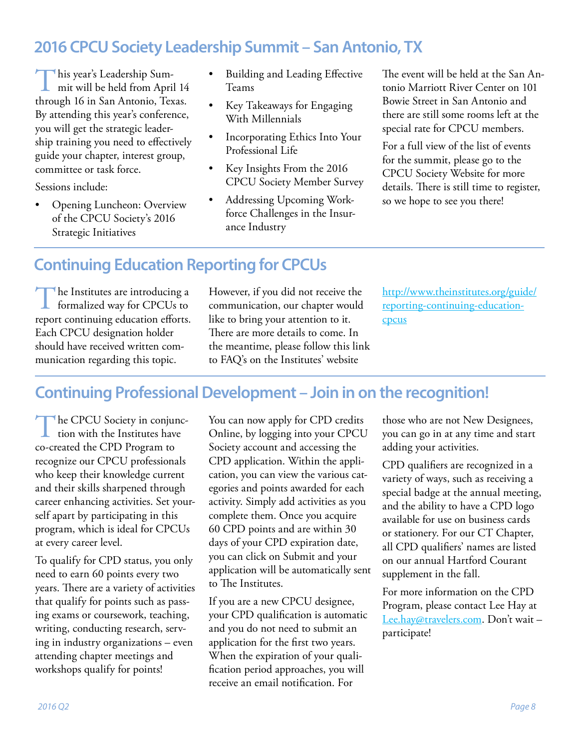#### <span id="page-7-0"></span>**2016 CPCU Society Leadership Summit – San Antonio, TX**

This year's Leadership Summit will be held from April 14 through 16 in San Antonio, Texas. By attending this year's conference, you will get the strategic leadership training you need to effectively guide your chapter, interest group, committee or task force.

Sessions include:

• Opening Luncheon: Overview of the CPCU Society's 2016 Strategic Initiatives

- Building and Leading Effective Teams
- Key Takeaways for Engaging With Millennials
- Incorporating Ethics Into Your Professional Life
- Key Insights From the 2016 CPCU Society Member Survey
- Addressing Upcoming Workforce Challenges in the Insurance Industry

The event will be held at the San Antonio Marriott River Center on 101 Bowie Street in San Antonio and there are still some rooms left at the special rate for CPCU members.

For a full view of the list of events for the summit, please go to the CPCU Society Website for more details. There is still time to register, so we hope to see you there!

#### **Continuing Education Reporting for CPCUs**

The Institutes are introducing a<br>formalized way for CPCUs to report continuing education efforts. Each CPCU designation holder should have received written communication regarding this topic.

However, if you did not receive the communication, our chapter would like to bring your attention to it. There are more details to come. In the meantime, please follow this link to FAQ's on the Institutes' website

[http://www.theinstitutes.org/guide/](http://www.theinstitutes.org/guide/reporting) [reporting](http://www.theinstitutes.org/guide/reporting)-continuing-educationcpcus

#### **Continuing Professional Development – Join in on the recognition!**

The CPCU Society in conjunc-<br>tion with the Institutes have co-created the CPD Program to recognize our CPCU professionals who keep their knowledge current and their skills sharpened through career enhancing activities. Set yourself apart by participating in this program, which is ideal for CPCUs at every career level.

To qualify for CPD status, you only need to earn 60 points every two years. There are a variety of activities that qualify for points such as passing exams or coursework, teaching, writing, conducting research, serving in industry organizations – even attending chapter meetings and workshops qualify for points!

You can now apply for CPD credits Online, by logging into your CPCU Society account and accessing the CPD application. Within the application, you can view the various categories and points awarded for each activity. Simply add activities as you complete them. Once you acquire 60 CPD points and are within 30 days of your CPD expiration date, you can click on Submit and your application will be automatically sent to The Institutes.

If you are a new CPCU designee, your CPD qualification is automatic and you do not need to submit an application for the first two years. When the expiration of your qualification period approaches, you will receive an email notification. For

those who are not New Designees, you can go in at any time and start adding your activities.

CPD qualifiers are recognized in a variety of ways, such as receiving a special badge at the annual meeting, and the ability to have a CPD logo available for use on business cards or stationery. For our CT Chapter, all CPD qualifiers' names are listed on our annual Hartford Courant supplement in the fall.

For more information on the CPD Program, please contact Lee Hay at [Lee.hay@travelers.com.](mailto:Lee.hay@travelers.com) Don't wait participate!